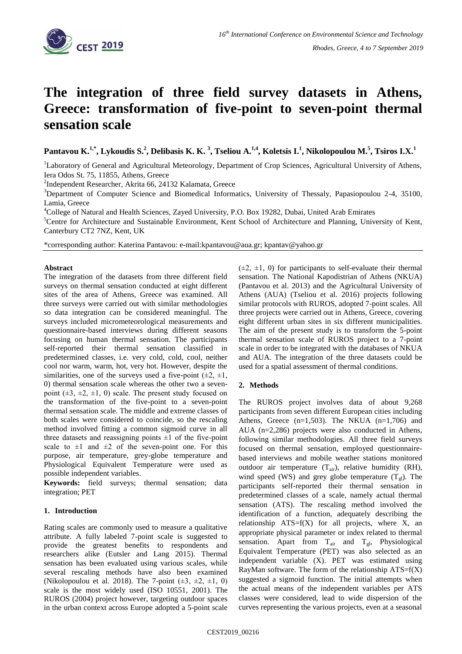

# **The integration of three field survey datasets in Athens, Greece: transformation of five-point to seven-point thermal sensation scale**

**Pantavou K.1,\* , Lykoudis S.<sup>2</sup> , Delibasis K. K. <sup>3</sup> , Tseliou A.1,4, Koletsis I.<sup>1</sup> , Nikolopoulou M.<sup>5</sup> , Tsiros I.X.<sup>1</sup>**

<sup>1</sup>Laboratory of General and Agricultural Meteorology, Department of Crop Sciences, Agricultural University of Athens, Iera Odos St. 75, 11855, Athens, Greece

<sup>2</sup>Independent Researcher, Akrita 66, 24132 Kalamata, Greece

<sup>3</sup>Department of Computer Science and Biomedical Informatics, University of Thessaly, Papasiopoulou 2-4, 35100, Lamia, Greece

<sup>4</sup>College of Natural and Health Sciences, Zayed University, P.O. Box 19282, Dubai, United Arab Emirates

<sup>5</sup>Centre for Architecture and Sustainable Environment, Kent School of Architecture and Planning, University of Kent, Canterbury CT2 7NZ, Kent, UK

\*corresponding author: Katerina Pantavou: e-mail:kpantavou@aua.gr; kpantav@yahoo.gr

## **Abstract**

The integration of the datasets from three different field surveys on thermal sensation conducted at eight different sites of the area of Athens, Greece was examined. All three surveys were carried out with similar methodologies so data integration can be considered meaningful. The surveys included micrometeorological measurements and questionnaire-based interviews during different seasons focusing on human thermal sensation. The participants self-reported their thermal sensation classified in predetermined classes, i.e. very cold, cold, cool, neither cool nor warm, warm, hot, very hot. However, despite the similarities, one of the surveys used a five-point  $(\pm 2, \pm 1, \pm 1)$ 0) thermal sensation scale whereas the other two a sevenpoint  $(\pm 3, \pm 2, \pm 1, 0)$  scale. The present study focused on the transformation of the five-point to a seven-point thermal sensation scale. The middle and extreme classes of both scales were considered to coincide, so the rescaling method involved fitting a common sigmoid curve in all three datasets and reassigning points  $\pm 1$  of the five-point scale to  $\pm 1$  and  $\pm 2$  of the seven-point one. For this purpose, air temperature, grey-globe temperature and Physiological Equivalent Temperature were used as possible independent variables.

**Keywords:** field surveys; thermal sensation; data integration; PET

# **1. Introduction**

Rating scales are commonly used to measure a qualitative attribute. A fully labeled 7-point scale is suggested to provide the greatest benefits to respondents and researchers alike (Eutsler and Lang 2015). Thermal sensation has been evaluated using various scales, while several rescaling methods have also been examined (Nikolopoulou et al. 2018). The 7-point  $(\pm 3, \pm 2, \pm 1, 0)$ scale is the most widely used (ISO 10551, 2001). The RUROS (2004) project however, targeting outdoor spaces in the urban context across Europe adopted a 5-point scale  $(\pm 2, \pm 1, 0)$  for participants to self-evaluate their thermal sensation. The National Kapodistrian of Athens (NKUA) (Pantavou et al. 2013) and the Agricultural University of Athens (AUA) (Tseliou et al. 2016) projects following similar protocols with RUROS, adopted 7-point scales. All three projects were carried out in Athens, Greece, covering eight different urban sites in six different municipalities. The aim of the present study is to transform the 5-point thermal sensation scale of RUROS project to a 7-point scale in order to be integrated with the databases of NKUA and AUA. The integration of the three datasets could be used for a spatial assessment of thermal conditions.

# **2. Methods**

The RUROS project involves data of about 9,268 participants from seven different European cities including Athens, Greece  $(n=1,503)$ . The NKUA  $(n=1,706)$  and AUA (n=2,286) projects were also conducted in Athens, following similar methodologies. All three field surveys focused on thermal sensation, employed questionnairebased interviews and mobile weather stations monitored outdoor air temperature  $(T_{air})$ , relative humidity (RH), wind speed (WS) and grey globe temperature  $(T_{gl})$ . The participants self-reported their thermal sensation in predetermined classes of a scale, namely actual thermal sensation (ATS). The rescaling method involved the identification of a function, adequately describing the relationship  $ATS=f(X)$  for all projects, where X, an appropriate physical parameter or index related to thermal sensation. Apart from  $T_{air}$  and  $T_{gl}$ , Physiological Equivalent Temperature (PET) was also selected as an independent variable (X). PET was estimated using RayMan software. The form of the relationship  $ATS=f(X)$ suggested a sigmoid function. The initial attempts when the actual means of the independent variables per ATS classes were considered, lead to wide dispersion of the curves representing the various projects, even at a seasonal